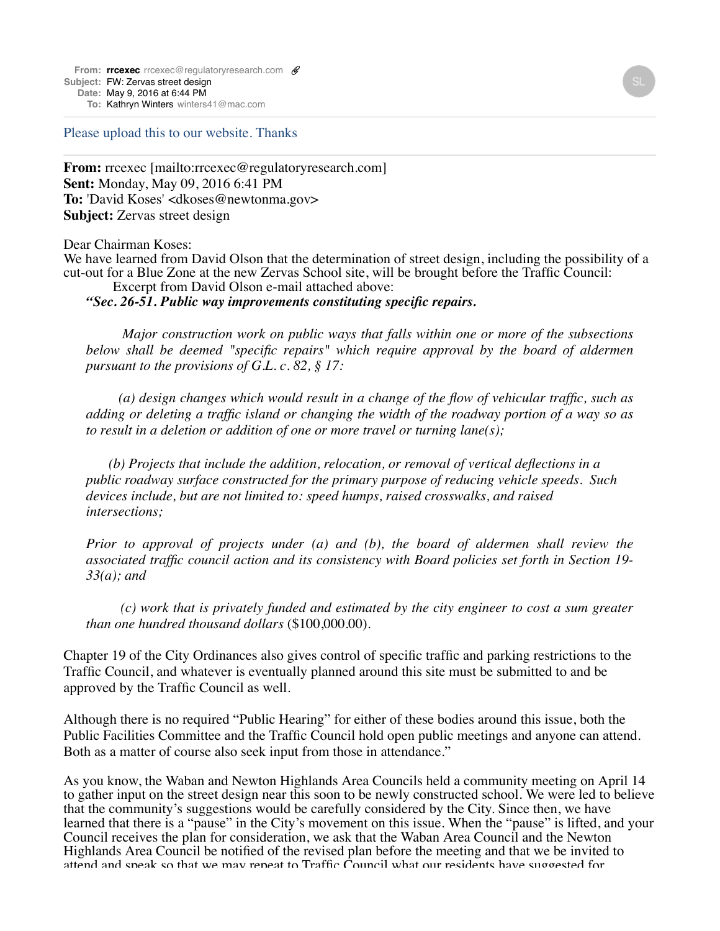From: **[rrcexec](mailto:rrcexecrrcexec@regulatoryresearch.com)** [rrcexec@regulatoryresearch.com](mailto:rrcexecrrcexec@regulatoryresearch.com) **@ Subject:** FW: Zervas street design **Date:** May 9, 2016 at 6:44 PM

**To:** Kathryn [Winters](mailto:Winterswinters41@mac.com) [winters41@mac.com](mailto:Winterswinters41@mac.com)

Please upload this to our website. Thanks

**From:** rrcexec [mailto:rrcexec@regulatoryresearch.com] **Sent:** Monday, May 09, 2016 6:41 PM **To:** 'David Koses' <dkoses@newtonma.gov> **Subject:** Zervas street design

Dear Chairman Koses:

We have learned from David Olson that the determination of street design, including the possibility of a cut-out for a Blue Zone at the new Zervas School site, will be brought before the Traffic Council: Excerpt from David Olson e-mail attached above:

*"Sec. 26-51. Public way improvements constituting specific repairs.*

 *Major construction work on public ways that falls within one or more of the subsections below shall be deemed "specific repairs" which require approval by the board of aldermen pursuant to the provisions of G.L. c. 82, § 17:*

 *(a) design changes which would result in a change of the flow of vehicular traffic, such as adding or deleting a traffic island or changing the width of the roadway portion of a way so as to result in a deletion or addition of one or more travel or turning lane(s);*

 *(b) Projects that include the addition, relocation, or removal of vertical deflections in a public roadway surface constructed for the primary purpose of reducing vehicle speeds. Such devices include, but are not limited to: speed humps, raised crosswalks, and raised intersections;* 

*Prior to approval of projects under (a) and (b), the board of aldermen shall review the associated traffic council action and its consistency with Board policies set forth in Section 19- 33(a); and*

 *(c) work that is privately funded and estimated by the city engineer to cost a sum greater than one hundred thousand dollars* (\$100,000.00).

Chapter 19 of the City Ordinances also gives control of specific traffic and parking restrictions to the Traffic Council, and whatever is eventually planned around this site must be submitted to and be approved by the Traffic Council as well.

Although there is no required "Public Hearing" for either of these bodies around this issue, both the Public Facilities Committee and the Traffic Council hold open public meetings and anyone can attend. Both as a matter of course also seek input from those in attendance."

As you know, the Waban and Newton Highlands Area Councils held a community meeting on April 14 to gather input on the street design near this soon to be newly constructed school. We were led to believe that the community's suggestions would be carefully considered by the City. Since then, we have learned that there is a "pause" in the City's movement on this issue. When the "pause" is lifted, and your Council receives the plan for consideration, we ask that the Waban Area Council and the Newton Highlands Area Council be notified of the revised plan before the meeting and that we be invited to attend and speak so that we may repeat to Traffic Council what our residents have suggested for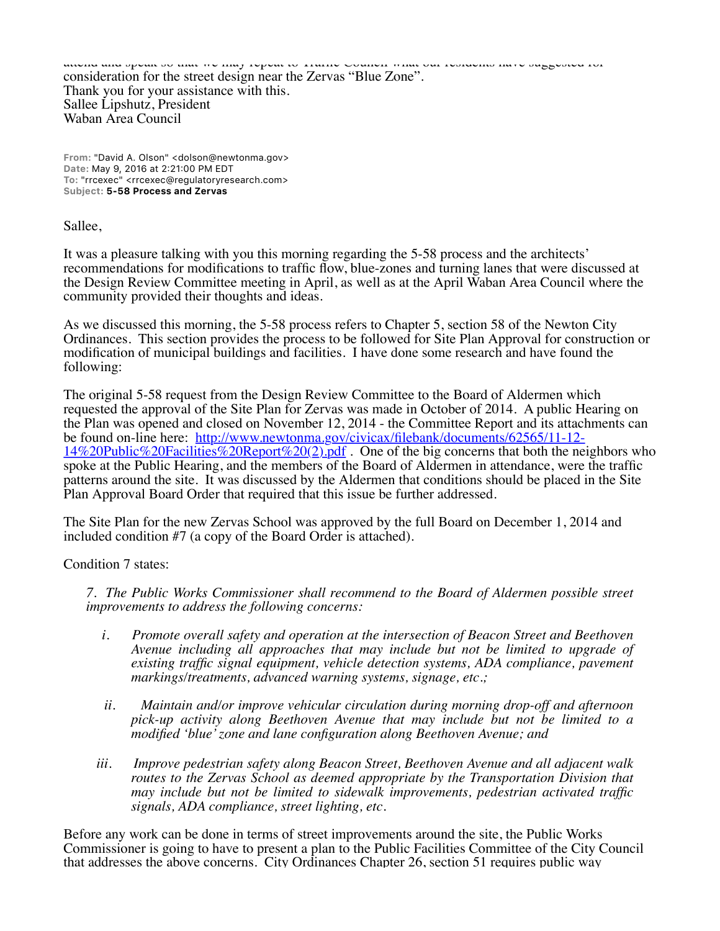attend and speak so that we may repeat to Traffic Council what our residents have suggested for consideration for the street design near the Zervas "Blue Zone". Thank you for your assistance with this. Sallee Lipshutz, President Waban Area Council

**From:** "David A. Olson" <dolson@newtonma.gov> **Date:** May 9, 2016 at 2:21:00 PM EDT **To:** "rrcexec" <rrcexec@regulatoryresearch.com> **Subject: 5-58 Process and Zervas**

Sallee,

It was a pleasure talking with you this morning regarding the 5-58 process and the architects' recommendations for modifications to traffic flow, blue-zones and turning lanes that were discussed at the Design Review Committee meeting in April, as well as at the April Waban Area Council where the community provided their thoughts and ideas.

As we discussed this morning, the 5-58 process refers to Chapter 5, section 58 of the Newton City Ordinances. This section provides the process to be followed for Site Plan Approval for construction or modification of municipal buildings and facilities. I have done some research and have found the following:

The original 5-58 request from the Design Review Committee to the Board of Aldermen which requested the approval of the Site Plan for Zervas was made in October of 2014. A public Hearing on the Plan was opened and closed on November 12, 2014 - the Committee Report and its attachments can be found on-line here: http://www.newtonma.gov/civicax/filebank/documents/62565/11-12-  $14\%20 \text{Public} \%20 \text{Facilities} \%20 \text{Report} \%20(2)$ .pdf. One of the big concerns that both the neighbors who spoke at the Public Hearing, and the members of the Board of Aldermen in attendance, were the traffic patterns around the site. It was discussed by the Aldermen that conditions should be placed in the Site Plan Approval Board Order that required that this issue be further addressed.

The Site Plan for the new Zervas School was approved by the full Board on December 1, 2014 and included condition #7 (a copy of the Board Order is attached).

Condition 7 states:

*7. The Public Works Commissioner shall recommend to the Board of Aldermen possible street improvements to address the following concerns:*

- *i. Promote overall safety and operation at the intersection of Beacon Street and Beethoven Avenue including all approaches that may include but not be limited to upgrade of existing traffic signal equipment, vehicle detection systems, ADA compliance, pavement markings/treatments, advanced warning systems, signage, etc.;*
- *ii. Maintain and/or improve vehicular circulation during morning drop-off and afternoon pick-up activity along Beethoven Avenue that may include but not be limited to a modified 'blue' zone and lane configuration along Beethoven Avenue; and*
- *iii. Improve pedestrian safety along Beacon Street, Beethoven Avenue and all adjacent walk routes to the Zervas School as deemed appropriate by the Transportation Division that may include but not be limited to sidewalk improvements, pedestrian activated traffic signals, ADA compliance, street lighting, etc.*

Before any work can be done in terms of street improvements around the site, the Public Works Commissioner is going to have to present a plan to the Public Facilities Committee of the City Council that addresses the above concerns. City Ordinances Chapter 26, section 51 requires public way